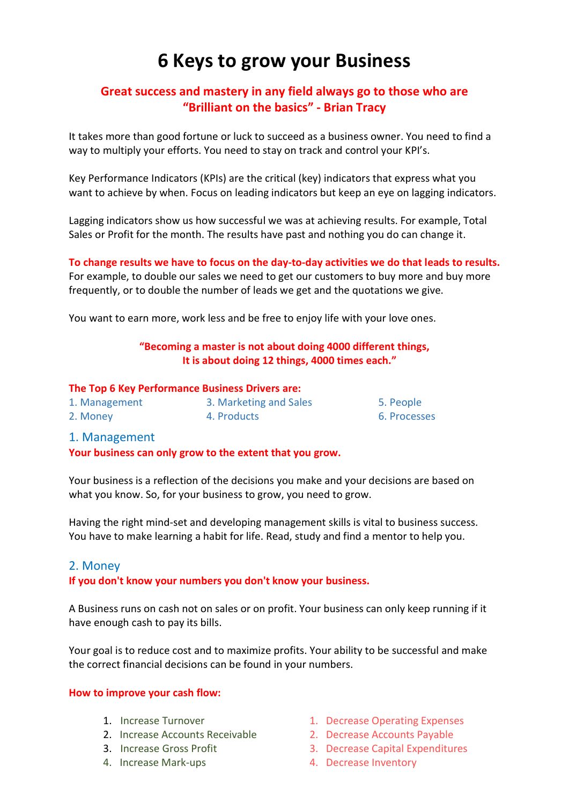# 6 Keys to grow your Business

## Great success and mastery in any field always go to those who are "Brilliant on the basics" - Brian Tracy

It takes more than good fortune or luck to succeed as a business owner. You need to find a way to multiply your efforts. You need to stay on track and control your KPI's.

Key Performance Indicators (KPIs) are the critical (key) indicators that express what you want to achieve by when. Focus on leading indicators but keep an eye on lagging indicators.

Lagging indicators show us how successful we was at achieving results. For example, Total Sales or Profit for the month. The results have past and nothing you do can change it.

To change results we have to focus on the day-to-day activities we do that leads to results. For example, to double our sales we need to get our customers to buy more and buy more frequently, or to double the number of leads we get and the quotations we give.

You want to earn more, work less and be free to enjoy life with your love ones.

## "Becoming a master is not about doing 4000 different things, It is about doing 12 things, 4000 times each."

### The Top 6 Key Performance Business Drivers are:

| 1. Management | 3. Marketing and Sales |
|---------------|------------------------|
| 2. Money      | 4. Products            |

## 1. Management

Your business can only grow to the extent that you grow.

Your business is a reflection of the decisions you make and your decisions are based on what you know. So, for your business to grow, you need to grow.

Having the right mind-set and developing management skills is vital to business success. You have to make learning a habit for life. Read, study and find a mentor to help you.

## 2. Money

## If you don't know your numbers you don't know your business.

A Business runs on cash not on sales or on profit. Your business can only keep running if it have enough cash to pay its bills.

Your goal is to reduce cost and to maximize profits. Your ability to be successful and make the correct financial decisions can be found in your numbers.

## How to improve your cash flow:

- 
- 2. Increase Accounts Receivable 2. Decrease Accounts Payable
- 
- 
- 1. Increase Turnover 1. Decrease Operating Expenses

5. People 6. Processes

- 
- 3. Increase Gross Profit 3. Decrease Capital Expenditures
- 4. Increase Mark-ups 4. Decrease Inventory